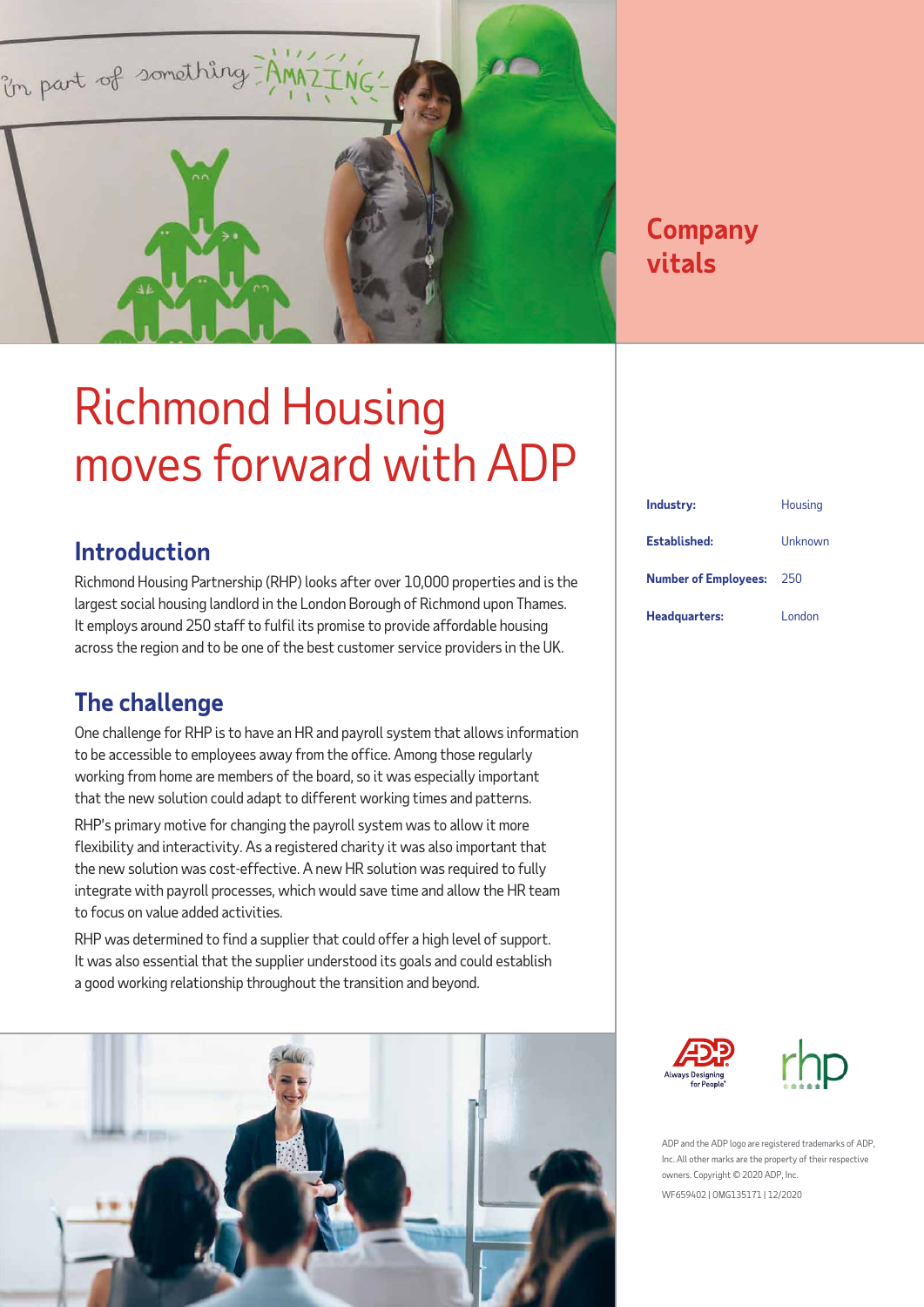

### **Company vitals**

## Richmond Housing moves forward with ADP

### **Introduction**

Richmond Housing Partnership (RHP) looks after over 10,000 properties and is the largest social housing landlord in the London Borough of Richmond upon Thames. It employs around 250 staff to fulfil its promise to provide affordable housing across the region and to be one of the best customer service providers in the UK. using Partnership (RHP) looks after over 10,000 properti<br>housing landlard in the Londan Persuah of Dishmend un

### **The challenge**

One challenge for RHP is to have an HR and payroll system that allows information to be accessible to employees away from the office. Among those regularly working from home are members of the board, so it was especially important that the new solution could adapt to different working times and patterns.

RHP's primary motive for changing the payroll system was to allow it more flexibility and interactivity. As a registered charity it was also important that the new solution was cost-effective. A new HR solution was required to fully integrate with payroll processes, which would save time and allow the HR team to focus on value added activities.

RHP was determined to find a supplier that could offer a high level of support. It was also essential that the supplier understood its goals and could establish a good working relationship throughout the transition and beyond.



| Industry:                   | Housing |
|-----------------------------|---------|
| Established:                | Unknown |
| <b>Number of Employees:</b> | 250     |
| Headquarters:               | London  |





ADP and the ADP logo are registered trademarks of ADP, Inc. All other marks are the property of their respective owners. Copyright © 2020 ADP, Inc. WF659402 | OMG135171 | 12/2020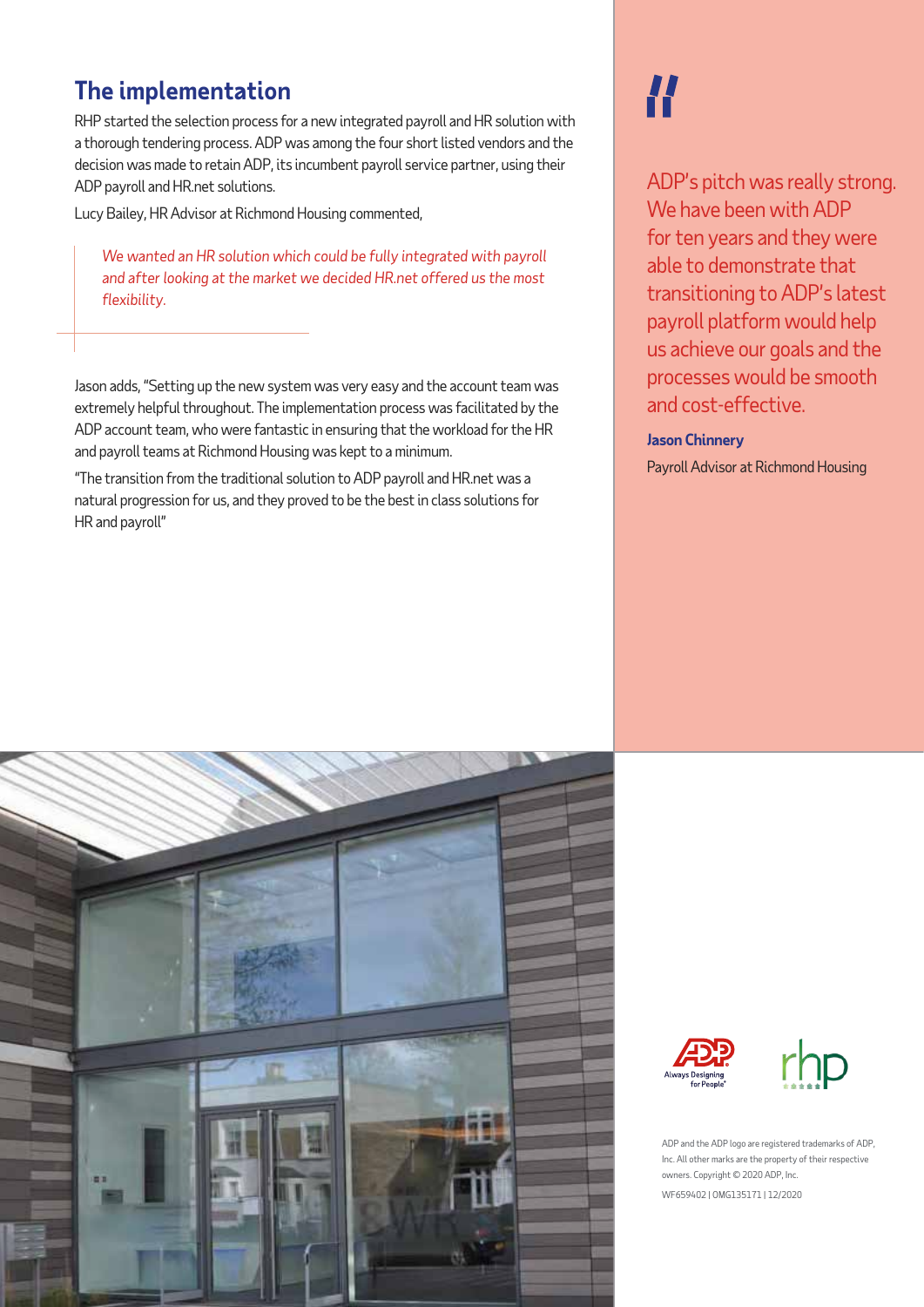### **The implementation**

RHP started the selection process for a new integrated payroll and HR solution with a thorough tendering process. ADP was among the four short listed vendors and the decision was made to retain ADP, its incumbent payroll service partner, using their ADP payroll and HR.net solutions.

Lucy Bailey, HR Advisor at Richmond Housing commented,

*We wanted an HR solution which could be fully integrated with payroll and after looking at the market we decided HR.net offered us the most flexibility.*

Jason adds, "Setting up the new system was very easy and the account team was extremely helpful throughout. The implementation process was facilitated by the ADP account team, who were fantastic in ensuring that the workload for the HR and payroll teams at Richmond Housing was kept to a minimum.

"The transition from the traditional solution to ADP payroll and HR.net was a natural progression for us, and they proved to be the best in class solutions for HR and payroll"

# H

ADP's pitch was really strong. We have been with ADP for ten years and they were able to demonstrate that transitioning to ADP's latest payroll platform would help us achieve our goals and the processes would be smooth and cost-effective.

#### **Jason Chinnery**

Payroll Advisor at Richmond Housing







ADP and the ADP logo are registered trademarks of ADP, Inc. All other marks are the property of their respective owners. Copyright © 2020 ADP, Inc. WF659402 | OMG135171 | 12/2020